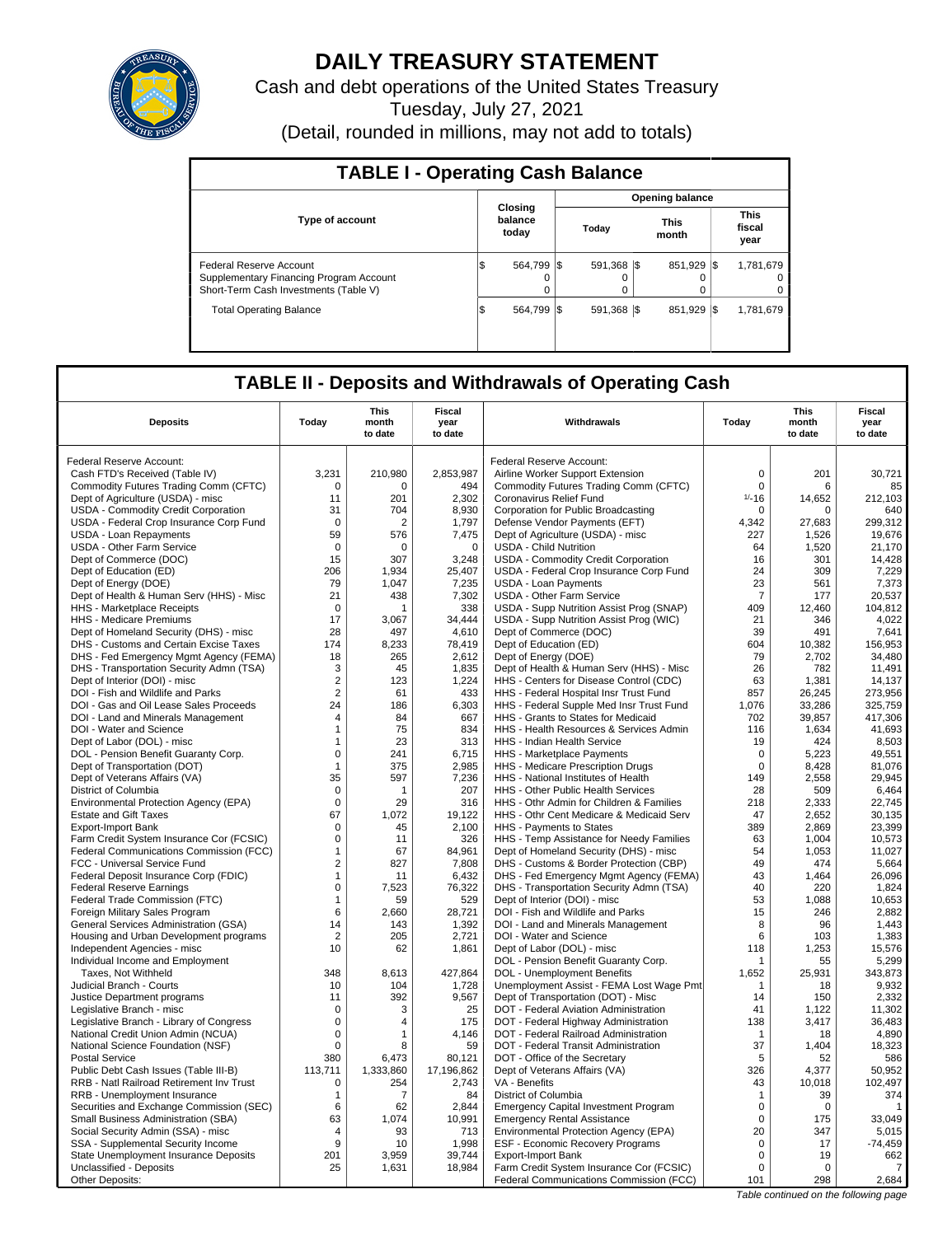

# **DAILY TREASURY STATEMENT**

Cash and debt operations of the United States Treasury

Tuesday, July 27, 2021

(Detail, rounded in millions, may not add to totals)

| <b>TABLE I - Operating Cash Balance</b>                                                                     |                              |                        |                  |                               |  |  |  |  |  |  |
|-------------------------------------------------------------------------------------------------------------|------------------------------|------------------------|------------------|-------------------------------|--|--|--|--|--|--|
|                                                                                                             |                              | <b>Opening balance</b> |                  |                               |  |  |  |  |  |  |
| <b>Type of account</b>                                                                                      | Closina<br>balance<br>today  | Today                  | This<br>month    | <b>This</b><br>fiscal<br>year |  |  |  |  |  |  |
| Federal Reserve Account<br>Supplementary Financing Program Account<br>Short-Term Cash Investments (Table V) | 564.799 \$<br>\$<br>$\Omega$ | 591.368 \\$<br>0       | 851.929 \\$<br>0 | 1,781,679<br>0<br>0           |  |  |  |  |  |  |
| <b>Total Operating Balance</b>                                                                              | 564.799 \\$<br>\$            | 591.368 \\$            | 851.929          | 1.781.679<br>-1\$             |  |  |  |  |  |  |

## **TABLE II - Deposits and Withdrawals of Operating Cash**

|                                                                                 |                            | <b>This</b>           | Fiscal          |                                                                                   |                             | <b>This</b>      | <b>Fiscal</b>     |
|---------------------------------------------------------------------------------|----------------------------|-----------------------|-----------------|-----------------------------------------------------------------------------------|-----------------------------|------------------|-------------------|
| <b>Deposits</b>                                                                 | Today                      | month<br>to date      | year<br>to date | Withdrawals                                                                       | Today                       | month<br>to date | year<br>to date   |
| Federal Reserve Account:                                                        |                            |                       |                 | Federal Reserve Account:                                                          |                             |                  |                   |
| Cash FTD's Received (Table IV)                                                  | 3,231                      | 210,980               | 2,853,987       |                                                                                   | $\mathsf 0$                 | 201              | 30,721            |
| Commodity Futures Trading Comm (CFTC)                                           | $\Omega$                   | $\Omega$              | 494             | Airline Worker Support Extension<br>Commodity Futures Trading Comm (CFTC)         | $\mathbf 0$                 | 6                | 85                |
| Dept of Agriculture (USDA) - misc                                               | 11                         | 201                   | 2,302           | Coronavirus Relief Fund                                                           | $1/ - 16$                   | 14,652           | 212,103           |
| USDA - Commodity Credit Corporation                                             | 31                         | 704                   | 8,930           | Corporation for Public Broadcasting                                               | $\Omega$                    | $\Omega$         | 640               |
| USDA - Federal Crop Insurance Corp Fund                                         | $\mathbf 0$                | 2                     | 1,797           | Defense Vendor Payments (EFT)                                                     | 4,342                       | 27,683           | 299,312           |
| USDA - Loan Repayments                                                          | 59                         | 576                   | 7,475           | Dept of Agriculture (USDA) - misc                                                 | 227                         | 1,526            | 19,676            |
| <b>USDA - Other Farm Service</b>                                                | $\mathbf 0$                | 0                     | $\mathbf 0$     | <b>USDA - Child Nutrition</b>                                                     | 64                          | 1,520            | 21,170            |
| Dept of Commerce (DOC)                                                          | 15                         | 307                   | 3,248           | USDA - Commodity Credit Corporation                                               | 16                          | 301              | 14.428            |
| Dept of Education (ED)                                                          | 206                        | 1,934                 | 25,407          | USDA - Federal Crop Insurance Corp Fund                                           | 24                          | 309              | 7,229             |
| Dept of Energy (DOE)                                                            | 79                         | 1,047                 | 7,235           | <b>USDA - Loan Payments</b>                                                       | 23                          | 561              | 7,373             |
| Dept of Health & Human Serv (HHS) - Misc                                        | 21                         | 438                   | 7,302           | <b>USDA - Other Farm Service</b>                                                  | $\overline{7}$              | 177              | 20,537            |
| <b>HHS</b> - Marketplace Receipts                                               | 0                          | 1                     | 338             | USDA - Supp Nutrition Assist Prog (SNAP)                                          | 409                         | 12,460           | 104,812           |
| HHS - Medicare Premiums                                                         | 17                         | 3.067                 | 34,444          | USDA - Supp Nutrition Assist Prog (WIC)                                           | 21                          | 346              | 4,022             |
| Dept of Homeland Security (DHS) - misc                                          | 28                         | 497                   | 4,610           | Dept of Commerce (DOC)                                                            | 39                          | 491              | 7,641             |
| DHS - Customs and Certain Excise Taxes                                          | 174                        | 8,233                 | 78,419          | Dept of Education (ED)                                                            | 604                         | 10,382           | 156,953           |
| DHS - Fed Emergency Mgmt Agency (FEMA)                                          | 18                         | 265                   | 2,612           | Dept of Energy (DOE)                                                              | 79                          | 2,702            | 34,480            |
| DHS - Transportation Security Admn (TSA)                                        | 3                          | 45                    | 1,835           | Dept of Health & Human Serv (HHS) - Misc                                          | 26                          | 782              | 11,491            |
| Dept of Interior (DOI) - misc                                                   | $\overline{2}$             | 123                   | 1,224           | HHS - Centers for Disease Control (CDC)                                           | 63                          | 1,381            | 14,137            |
| DOI - Fish and Wildlife and Parks                                               | $\overline{2}$             | 61                    | 433             | HHS - Federal Hospital Insr Trust Fund                                            | 857                         | 26,245           | 273,956           |
| DOI - Gas and Oil Lease Sales Proceeds                                          | 24                         | 186                   | 6,303           | HHS - Federal Supple Med Insr Trust Fund                                          | 1,076                       | 33,286           | 325,759           |
| DOI - Land and Minerals Management                                              | 4                          | 84                    | 667             | HHS - Grants to States for Medicaid                                               | 702                         | 39,857           | 417,306           |
| DOI - Water and Science                                                         | $\mathbf 1$                | 75                    | 834             | HHS - Health Resources & Services Admin                                           | 116                         | 1,634            | 41,693            |
| Dept of Labor (DOL) - misc                                                      | $\mathbf{1}$               | 23                    | 313             | <b>HHS - Indian Health Service</b>                                                | 19                          | 424              | 8,503             |
| DOL - Pension Benefit Guaranty Corp.                                            | $\mathbf 0$                | 241                   | 6,715           | HHS - Marketplace Payments                                                        | $\mathbf 0$                 | 5,223            | 49,551            |
| Dept of Transportation (DOT)                                                    | $\mathbf{1}$               | 375                   | 2,985           | HHS - Medicare Prescription Drugs                                                 | $\mathbf 0$                 | 8,428            | 81,076            |
| Dept of Veterans Affairs (VA)                                                   | 35                         | 597<br>$\mathbf{1}$   | 7,236<br>207    | HHS - National Institutes of Health                                               | 149                         | 2,558            | 29,945<br>6,464   |
| District of Columbia                                                            | $\mathbf 0$<br>$\mathbf 0$ | 29                    | 316             | HHS - Other Public Health Services<br>HHS - Othr Admin for Children & Families    | 28<br>218                   | 509<br>2,333     | 22,745            |
| Environmental Protection Agency (EPA)<br><b>Estate and Gift Taxes</b>           | 67                         | 1,072                 | 19,122          | HHS - Othr Cent Medicare & Medicaid Serv                                          | 47                          | 2,652            | 30,135            |
| <b>Export-Import Bank</b>                                                       | $\mathbf 0$                | 45                    | 2,100           | HHS - Payments to States                                                          | 389                         | 2,869            | 23,399            |
| Farm Credit System Insurance Cor (FCSIC)                                        | $\mathsf 0$                | 11                    | 326             | HHS - Temp Assistance for Needy Families                                          | 63                          | 1,004            | 10,573            |
| Federal Communications Commission (FCC)                                         | 1                          | 67                    | 84,961          | Dept of Homeland Security (DHS) - misc                                            | 54                          | 1,053            | 11,027            |
| FCC - Universal Service Fund                                                    | $\overline{2}$             | 827                   | 7,808           | DHS - Customs & Border Protection (CBP)                                           | 49                          | 474              | 5,664             |
| Federal Deposit Insurance Corp (FDIC)                                           | $\mathbf{1}$               | 11                    | 6,432           | DHS - Fed Emergency Mgmt Agency (FEMA)                                            | 43                          | 1,464            | 26,096            |
| <b>Federal Reserve Earnings</b>                                                 | $\mathbf 0$                | 7,523                 | 76,322          | DHS - Transportation Security Admn (TSA)                                          | 40                          | 220              | 1,824             |
| Federal Trade Commission (FTC)                                                  | $\mathbf{1}$               | 59                    | 529             | Dept of Interior (DOI) - misc                                                     | 53                          | 1,088            | 10,653            |
| Foreign Military Sales Program                                                  | 6                          | 2,660                 | 28,721          | DOI - Fish and Wildlife and Parks                                                 | 15                          | 246              | 2,882             |
| General Services Administration (GSA)                                           | 14                         | 143                   | 1,392           | DOI - Land and Minerals Management                                                | 8                           | 96               | 1,443             |
| Housing and Urban Development programs                                          | $\overline{2}$             | 205                   | 2,721           | DOI - Water and Science                                                           | 6                           | 103              | 1,383             |
| Independent Agencies - misc                                                     | 10                         | 62                    | 1,861           | Dept of Labor (DOL) - misc                                                        | 118                         | 1,253            | 15,576            |
| Individual Income and Employment                                                |                            |                       |                 | DOL - Pension Benefit Guaranty Corp.                                              | 1                           | 55               | 5,299             |
| Taxes, Not Withheld                                                             | 348                        | 8,613                 | 427,864         | DOL - Unemployment Benefits                                                       | 1,652                       | 25,931           | 343,873           |
| Judicial Branch - Courts                                                        | 10                         | 104                   | 1,728           | Unemployment Assist - FEMA Lost Wage Pmt                                          | $\mathbf 1$                 | 18               | 9,932             |
| Justice Department programs                                                     | 11                         | 392                   | 9,567           | Dept of Transportation (DOT) - Misc                                               | 14                          | 150              | 2,332             |
| Legislative Branch - misc                                                       | $\mathbf 0$                | 3                     | 25              | DOT - Federal Aviation Administration                                             | 41                          | 1,122            | 11,302            |
| Legislative Branch - Library of Congress                                        | $\mathbf 0$                | 4                     | 175             | DOT - Federal Highway Administration                                              | 138                         | 3,417            | 36,483            |
| National Credit Union Admin (NCUA)                                              | $\mathsf 0$                | $\mathbf{1}$          | 4,146           | DOT - Federal Railroad Administration                                             | -1                          | 18               | 4,890             |
| National Science Foundation (NSF)                                               | $\mathbf 0$                | 8                     | 59              | DOT - Federal Transit Administration                                              | 37                          | 1,404            | 18,323            |
| <b>Postal Service</b>                                                           | 380                        | 6,473                 | 80,121          | DOT - Office of the Secretary                                                     | 5                           | 52               | 586               |
| Public Debt Cash Issues (Table III-B)                                           | 113,711                    | 1,333,860             | 17,196,862      | Dept of Veterans Affairs (VA)<br>VA - Benefits                                    | 326<br>43                   | 4,377<br>10,018  | 50,952<br>102,497 |
| RRB - Natl Railroad Retirement Inv Trust                                        | $\mathbf 0$                | 254<br>$\overline{7}$ | 2,743<br>84     |                                                                                   |                             |                  |                   |
| RRB - Unemployment Insurance                                                    | $\mathbf{1}$<br>6          | 62                    | 2.844           | District of Columbia                                                              | $\mathbf{1}$<br>$\mathbf 0$ | 39<br>$\Omega$   | 374               |
| Securities and Exchange Commission (SEC)<br>Small Business Administration (SBA) | 63                         | 1,074                 | 10,991          | <b>Emergency Capital Investment Program</b><br><b>Emergency Rental Assistance</b> | $\mathbf 0$                 | 175              | 33,049            |
| Social Security Admin (SSA) - misc                                              | 4                          | 93                    | 713             | Environmental Protection Agency (EPA)                                             | 20                          | 347              | 5.015             |
| SSA - Supplemental Security Income                                              | 9                          | 10                    | 1,998           | ESF - Economic Recovery Programs                                                  | $\mathsf 0$                 | 17               | $-74,459$         |
| State Unemployment Insurance Deposits                                           | 201                        | 3,959                 | 39,744          | Export-Import Bank                                                                | $\mathbf 0$                 | 19               | 662               |
| Unclassified - Deposits                                                         | 25                         | 1,631                 | 18,984          | Farm Credit System Insurance Cor (FCSIC)                                          | $\mathbf 0$                 | $\mathbf 0$      | $\overline{7}$    |
| Other Deposits:                                                                 |                            |                       |                 | Federal Communications Commission (FCC)                                           | 101                         | 298              | 2,684             |
|                                                                                 |                            |                       |                 |                                                                                   |                             |                  |                   |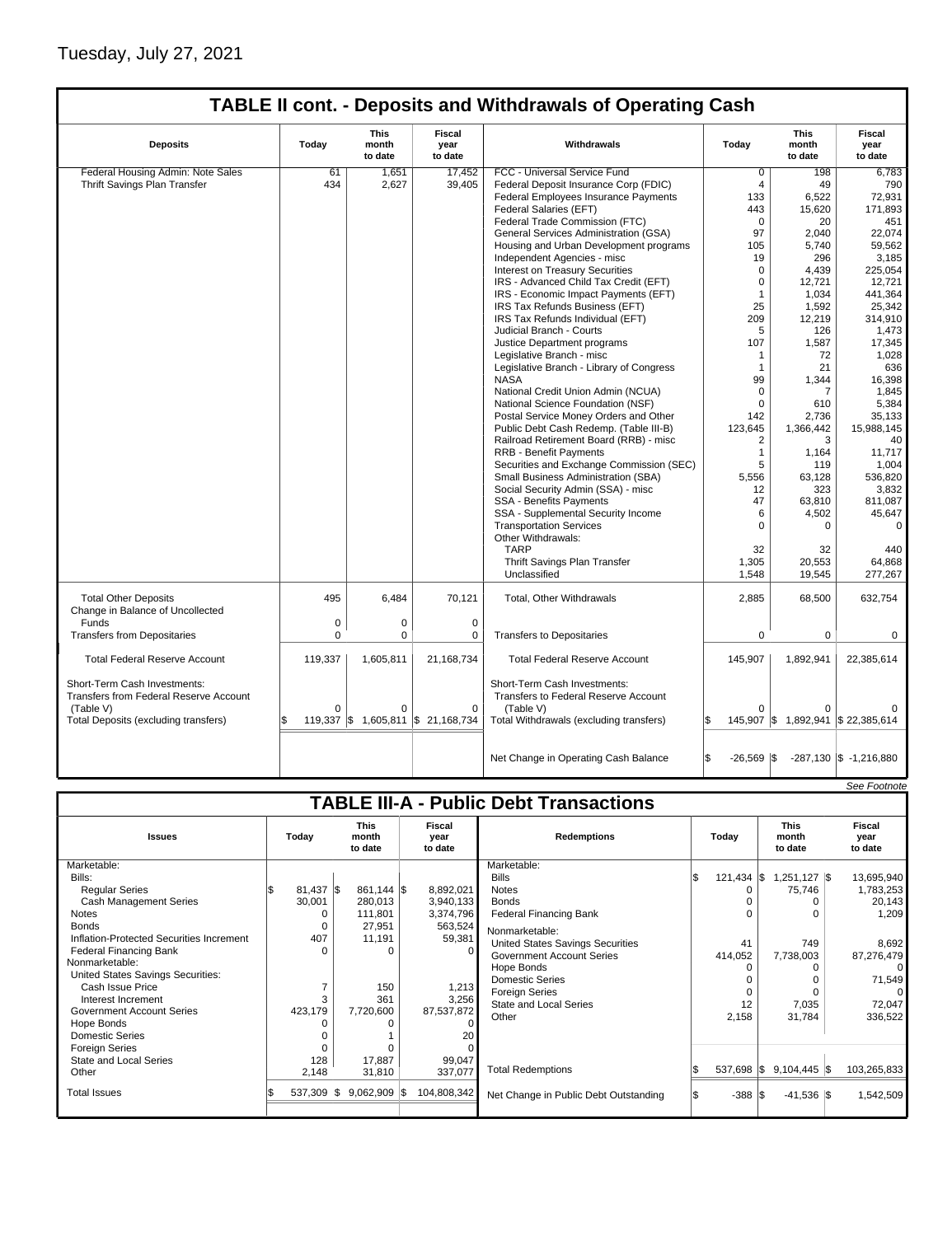# Tuesday, July 27, 2021

|                                                                        |         |                                 |                                    | <b>TABLE II cont. - Deposits and Withdrawals of Operating Cash</b>   |                            |                          |                                    |
|------------------------------------------------------------------------|---------|---------------------------------|------------------------------------|----------------------------------------------------------------------|----------------------------|--------------------------|------------------------------------|
| <b>Deposits</b>                                                        | Today   | <b>This</b><br>month<br>to date | Fiscal<br>year<br>to date          | Withdrawals                                                          | Today                      | This<br>month<br>to date | <b>Fiscal</b><br>year<br>to date   |
| Federal Housing Admin: Note Sales                                      | 61      | 1,651                           | 17.452                             | FCC - Universal Service Fund                                         | $\overline{0}$             | 198                      | 6,783                              |
| Thrift Savings Plan Transfer                                           | 434     | 2,627                           | 39,405                             | Federal Deposit Insurance Corp (FDIC)                                | 4                          | 49                       | 790                                |
|                                                                        |         |                                 |                                    | Federal Employees Insurance Payments                                 | 133                        | 6,522                    | 72,931                             |
|                                                                        |         |                                 |                                    | Federal Salaries (EFT)                                               | 443                        | 15,620                   | 171,893                            |
|                                                                        |         |                                 |                                    | Federal Trade Commission (FTC)                                       | $\Omega$                   | 20                       | 451                                |
|                                                                        |         |                                 |                                    | General Services Administration (GSA)                                | 97                         | 2.040                    | 22.074                             |
|                                                                        |         |                                 |                                    | Housing and Urban Development programs                               | 105                        | 5,740                    | 59,562                             |
|                                                                        |         |                                 |                                    | Independent Agencies - misc                                          | 19                         | 296                      | 3,185                              |
|                                                                        |         |                                 |                                    | <b>Interest on Treasury Securities</b>                               | 0                          | 4,439                    | 225,054                            |
|                                                                        |         |                                 |                                    | IRS - Advanced Child Tax Credit (EFT)                                | $\Omega$                   | 12,721                   | 12,721                             |
|                                                                        |         |                                 |                                    | IRS - Economic Impact Payments (EFT)                                 | $\mathbf{1}$               | 1,034                    | 441,364                            |
|                                                                        |         |                                 |                                    | IRS Tax Refunds Business (EFT)                                       | 25                         | 1,592                    | 25,342                             |
|                                                                        |         |                                 |                                    | IRS Tax Refunds Individual (EFT)                                     | 209                        | 12,219                   | 314,910                            |
|                                                                        |         |                                 |                                    | Judicial Branch - Courts                                             | 5                          | 126                      | 1,473                              |
|                                                                        |         |                                 |                                    | Justice Department programs                                          | 107                        | 1,587                    | 17,345                             |
|                                                                        |         |                                 |                                    | Legislative Branch - misc                                            | 1                          | 72                       | 1,028                              |
|                                                                        |         |                                 |                                    | Legislative Branch - Library of Congress                             | $\mathbf{1}$               | 21                       | 636                                |
|                                                                        |         |                                 |                                    | <b>NASA</b>                                                          | 99                         | 1,344                    | 16,398                             |
|                                                                        |         |                                 |                                    | National Credit Union Admin (NCUA)                                   | $\Omega$                   | 7                        | 1,845                              |
|                                                                        |         |                                 |                                    | National Science Foundation (NSF)                                    | $\Omega$                   | 610                      | 5,384                              |
|                                                                        |         |                                 |                                    | Postal Service Money Orders and Other                                | 142                        | 2,736                    | 35,133                             |
|                                                                        |         |                                 |                                    | Public Debt Cash Redemp. (Table III-B)                               | 123,645                    | 1,366,442                | 15,988,145                         |
|                                                                        |         |                                 |                                    | Railroad Retirement Board (RRB) - misc                               | 2                          | 3                        | 40                                 |
|                                                                        |         |                                 |                                    | RRB - Benefit Payments                                               | $\mathbf{1}$               | 1,164                    | 11,717                             |
|                                                                        |         |                                 |                                    | Securities and Exchange Commission (SEC)                             | 5                          | 119                      | 1,004                              |
|                                                                        |         |                                 |                                    | Small Business Administration (SBA)                                  | 5.556                      | 63.128                   | 536.820                            |
|                                                                        |         |                                 |                                    | Social Security Admin (SSA) - misc                                   | 12                         | 323                      | 3,832                              |
|                                                                        |         |                                 |                                    | <b>SSA - Benefits Payments</b>                                       | 47                         | 63,810                   | 811,087                            |
|                                                                        |         |                                 |                                    | SSA - Supplemental Security Income                                   | 6                          | 4,502                    | 45,647                             |
|                                                                        |         |                                 |                                    | <b>Transportation Services</b>                                       | $\Omega$                   | $\Omega$                 | $\Omega$                           |
|                                                                        |         |                                 |                                    | Other Withdrawals:                                                   |                            |                          |                                    |
|                                                                        |         |                                 |                                    | <b>TARP</b>                                                          | 32                         | 32                       | 440                                |
|                                                                        |         |                                 |                                    | Thrift Savings Plan Transfer                                         | 1,305                      | 20,553                   | 64,868                             |
|                                                                        |         |                                 |                                    | Unclassified                                                         | 1,548                      | 19,545                   | 277,267                            |
| <b>Total Other Deposits</b><br>Change in Balance of Uncollected        | 495     | 6,484                           | 70,121                             | Total, Other Withdrawals                                             | 2,885                      | 68,500                   | 632,754                            |
| Funds                                                                  | 0       | $\mathbf 0$                     | $\mathbf 0$                        |                                                                      |                            |                          |                                    |
| <b>Transfers from Depositaries</b>                                     | 0       | $\mathbf 0$                     | 0                                  | <b>Transfers to Depositaries</b>                                     | $\mathbf 0$                | 0                        | $\mathbf 0$                        |
| <b>Total Federal Reserve Account</b>                                   | 119,337 | 1,605,811                       | 21,168,734                         | <b>Total Federal Reserve Account</b>                                 | 145,907                    | 1,892,941                | 22,385,614                         |
| Short-Term Cash Investments:<br>Transfers from Federal Reserve Account |         |                                 |                                    | Short-Term Cash Investments:<br>Transfers to Federal Reserve Account |                            |                          |                                    |
| (Table V)                                                              |         |                                 | 0                                  | (Table V)                                                            | 0                          |                          |                                    |
| Total Deposits (excluding transfers)                                   |         |                                 | 119,337 \$ 1,605,811 \$ 21,168,734 | Total Withdrawals (excluding transfers)                              | £.                         |                          | 145,907 \$ 1,892,941 \$ 22,385,614 |
|                                                                        |         |                                 |                                    | Net Change in Operating Cash Balance                                 | \$<br>$-26,569$ $\sqrt{5}$ |                          | $-287,130$ \$ $-1,216,880$         |
|                                                                        |         |                                 |                                    |                                                                      |                            |                          |                                    |

|       |                                                                                                         |                                                                                                       |                                                                                                                                                                                                                                                                                                                               |                                                                                                                                      |                                              |                                                                                                        | See Footnote                                                                                                                             |  |  |  |  |
|-------|---------------------------------------------------------------------------------------------------------|-------------------------------------------------------------------------------------------------------|-------------------------------------------------------------------------------------------------------------------------------------------------------------------------------------------------------------------------------------------------------------------------------------------------------------------------------|--------------------------------------------------------------------------------------------------------------------------------------|----------------------------------------------|--------------------------------------------------------------------------------------------------------|------------------------------------------------------------------------------------------------------------------------------------------|--|--|--|--|
|       |                                                                                                         |                                                                                                       |                                                                                                                                                                                                                                                                                                                               |                                                                                                                                      |                                              |                                                                                                        |                                                                                                                                          |  |  |  |  |
| Today | <b>This</b><br>month<br>to date                                                                         | <b>Fiscal</b><br>year<br>to date                                                                      | <b>Redemptions</b>                                                                                                                                                                                                                                                                                                            |                                                                                                                                      |                                              | <b>This</b><br>month<br>to date                                                                        | Fiscal<br>year<br>to date                                                                                                                |  |  |  |  |
|       | 280,013<br>111,801<br>27,951<br>11,191<br>$\Omega$<br>150<br>361<br>7,720,600<br>17,887<br>31,810<br>ß. | 8,892,021<br>59,381<br>$\Omega$<br>3,256<br>87,537,872<br>0<br>20<br>99,047<br>337,077<br>104,808,342 | Marketable:<br><b>Bills</b><br><b>Notes</b><br><b>Bonds</b><br><b>Federal Financing Bank</b><br>Nonmarketable:<br>United States Savings Securities<br><b>Government Account Series</b><br>Hope Bonds<br><b>Domestic Series</b><br><b>Foreign Series</b><br><b>State and Local Series</b><br>Other<br><b>Total Redemptions</b> | IS.                                                                                                                                  | 0<br>0<br>41<br>0<br>$\Omega$<br>12<br>2,158 | $1,251,127$ \$<br>75,746<br>O<br>O<br>749<br>7,738,003<br>O<br>O<br>7,035<br>31,784<br>$9,104,445$ \\$ | 13,695,940<br>1,783,253<br>20,143<br>1,209<br>8,692<br>87,276,479<br>$\Omega$<br>71,549<br>72,047<br>336,522<br>103,265,833<br>1,542,509 |  |  |  |  |
|       |                                                                                                         |                                                                                                       |                                                                                                                                                                                                                                                                                                                               |                                                                                                                                      |                                              |                                                                                                        |                                                                                                                                          |  |  |  |  |
|       |                                                                                                         | $81,437$ \$<br>30,001<br>407<br>423,179<br>128<br>2,148<br>537,309                                    | $861,144$ \\$<br>$9,062,909$ \$                                                                                                                                                                                                                                                                                               | <b>TABLE III-A - Public Debt Transactions</b><br>3,940,133<br>3,374,796<br>563,524<br>1,213<br>Net Change in Public Debt Outstanding |                                              | Todav<br>414,052<br>$-388$                                                                             | $121,434$ \$<br>537,698 \$<br>$-41,536$ \\$                                                                                              |  |  |  |  |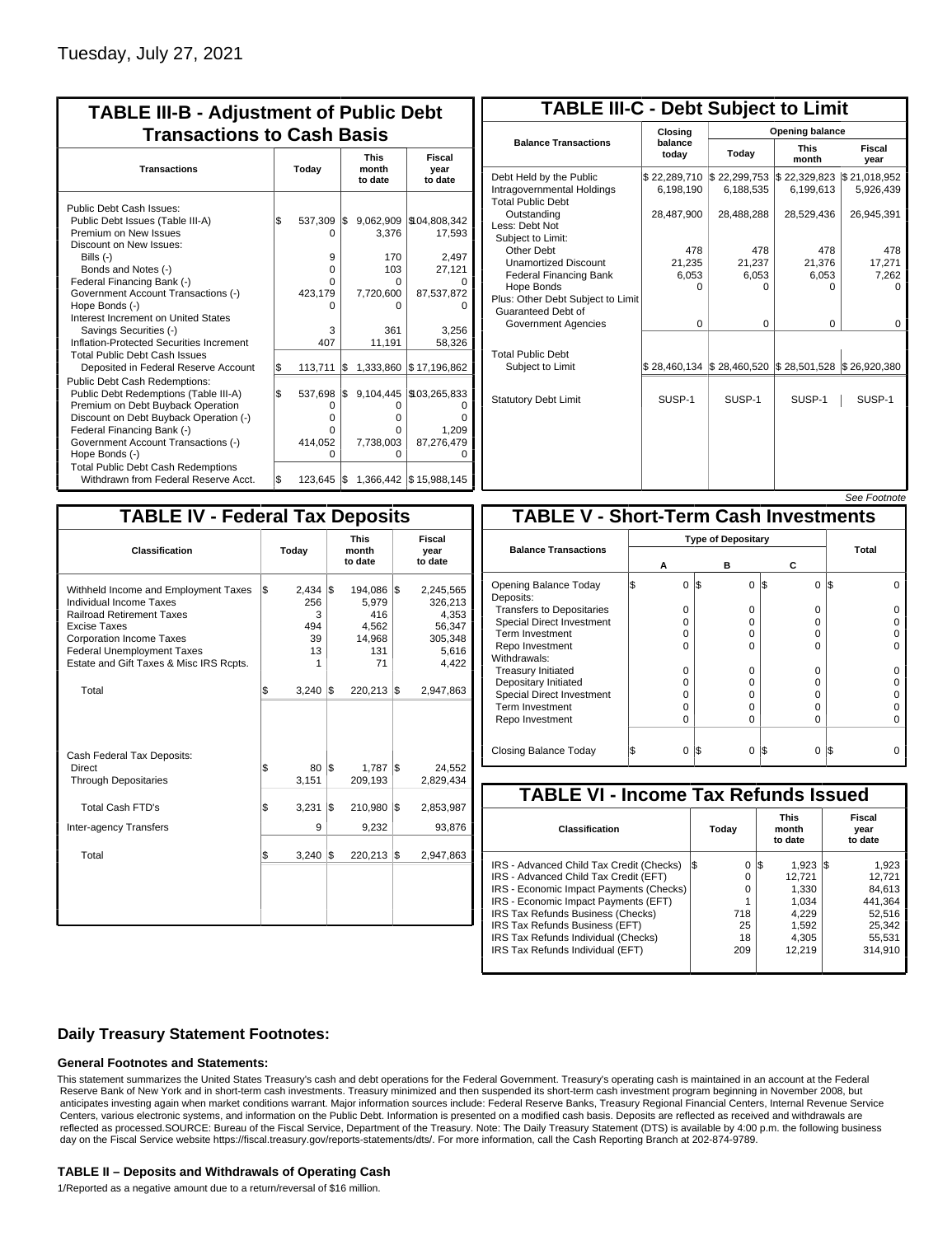| <b>TABLE III-B - Adjustment of Public Debt</b><br><b>Transactions to Cash Basis</b>                                                                                                                                                                                                                          |           |                                                   |            |                                                                       |                                                                     |  |  |                                 |                           |
|--------------------------------------------------------------------------------------------------------------------------------------------------------------------------------------------------------------------------------------------------------------------------------------------------------------|-----------|---------------------------------------------------|------------|-----------------------------------------------------------------------|---------------------------------------------------------------------|--|--|---------------------------------|---------------------------|
| <b>Transactions</b>                                                                                                                                                                                                                                                                                          | Today     |                                                   |            |                                                                       |                                                                     |  |  | <b>This</b><br>month<br>to date | Fiscal<br>year<br>to date |
| Public Debt Cash Issues:<br>Public Debt Issues (Table III-A)<br>Premium on New Issues<br>Discount on New Issues:<br>Bills (-)<br>Bonds and Notes (-)<br>Federal Financing Bank (-)<br>Government Account Transactions (-)<br>Hope Bonds (-)<br>Interest Increment on United States<br>Savings Securities (-) | \$        | 537,309<br>O<br>9<br>0<br>n<br>423,179<br>n<br>3  | l\$        | 9,062,909<br>3.376<br>170<br>103<br>$\Omega$<br>7,720,600<br>0<br>361 | \$104,808,342<br>17,593<br>2,497<br>27,121<br>87,537,872<br>3,256   |  |  |                                 |                           |
| Inflation-Protected Securities Increment<br><b>Total Public Debt Cash Issues</b>                                                                                                                                                                                                                             |           | 407                                               |            | 11,191                                                                | 58,326                                                              |  |  |                                 |                           |
| Deposited in Federal Reserve Account<br><b>Public Debt Cash Redemptions:</b><br>Public Debt Redemptions (Table III-A)<br>Premium on Debt Buyback Operation<br>Discount on Debt Buyback Operation (-)<br>Federal Financing Bank (-)<br>Government Account Transactions (-)<br>Hope Bonds (-)                  | \$<br>l\$ | 113,711<br>537,698<br>0<br>o<br>n<br>414,052<br>O | l\$<br>l\$ | 1,333,860<br>9,104,445<br>0<br>0<br>O<br>7,738,003<br>0               | \$17,196,862<br>\$103,265,833<br>Ω<br>n<br>1.209<br>87,276,479<br>0 |  |  |                                 |                           |
| <b>Total Public Debt Cash Redemptions</b><br>Withdrawn from Federal Reserve Acct.                                                                                                                                                                                                                            | l\$       | $123,645$ $\sqrt{5}$                              |            |                                                                       | 1,366,442 \$15,988,145                                              |  |  |                                 |                           |

| <b>TABLE III-C - Debt Subject to Limit</b>                                        |                           |                                                                                                     |                      |                           |  |  |  |  |  |
|-----------------------------------------------------------------------------------|---------------------------|-----------------------------------------------------------------------------------------------------|----------------------|---------------------------|--|--|--|--|--|
|                                                                                   | Closing                   | Opening balance                                                                                     |                      |                           |  |  |  |  |  |
| <b>Balance Transactions</b>                                                       | balance<br>today          | Today                                                                                               | <b>This</b><br>month | <b>Fiscal</b><br>year     |  |  |  |  |  |
| Debt Held by the Public<br>Intragovernmental Holdings<br><b>Total Public Debt</b> | \$22,289,710<br>6,198,190 | \$22,299,753<br>\$22,329,823<br>6,188,535                                                           |                      | \$21,018,952<br>5,926,439 |  |  |  |  |  |
| Outstanding<br>Less: Debt Not<br>Subiect to Limit:                                | 28,487,900                | 28,488,288                                                                                          | 28,529,436           | 26,945,391                |  |  |  |  |  |
| Other Debt                                                                        | 478                       | 478                                                                                                 | 478                  | 478                       |  |  |  |  |  |
| <b>Unamortized Discount</b>                                                       | 21,235                    | 21,237                                                                                              | 21.376               | 17,271                    |  |  |  |  |  |
| <b>Federal Financing Bank</b>                                                     | 6,053                     | 6,053                                                                                               | 6,053                | 7,262                     |  |  |  |  |  |
| Hope Bonds<br>Plus: Other Debt Subject to Limit<br>Guaranteed Debt of             | 0                         | O                                                                                                   | 0                    | o                         |  |  |  |  |  |
| Government Agencies                                                               | $\Omega$                  | $\Omega$                                                                                            | $\Omega$             | 0                         |  |  |  |  |  |
| <b>Total Public Debt</b><br>Subject to Limit                                      |                           | $\frac{1}{2}$ 28,460,134 $\frac{1}{2}$ 28,460,520 $\frac{1}{2}$ 28,501,528 $\frac{1}{2}$ 26,920,380 |                      |                           |  |  |  |  |  |
| <b>Statutory Debt Limit</b>                                                       | SUSP-1                    | SUSP-1                                                                                              | SUSP-1               | SUSP-1                    |  |  |  |  |  |
|                                                                                   |                           |                                                                                                     |                      |                           |  |  |  |  |  |

| See Footnote |
|--------------|
|              |

| <b>TABLE IV - Federal Tax Deposits</b>                                                                                                                                                                                                        |    |                                                        |     |                                                         |     |                                                                      |  |  |
|-----------------------------------------------------------------------------------------------------------------------------------------------------------------------------------------------------------------------------------------------|----|--------------------------------------------------------|-----|---------------------------------------------------------|-----|----------------------------------------------------------------------|--|--|
| <b>Classification</b>                                                                                                                                                                                                                         |    | Today                                                  |     | <b>This</b><br>month<br>to date                         |     | Fiscal<br>year<br>to date                                            |  |  |
| Withheld Income and Employment Taxes<br>Individual Income Taxes<br><b>Railroad Retirement Taxes</b><br><b>Excise Taxes</b><br><b>Corporation Income Taxes</b><br><b>Federal Unemployment Taxes</b><br>Estate and Gift Taxes & Misc IRS Rcpts. | \$ | $2,434$ $\sqrt{3}$<br>256<br>3<br>494<br>39<br>13<br>1 |     | 194,086<br>5,979<br>416<br>4,562<br>14,968<br>131<br>71 | l\$ | 2,245,565<br>326,213<br>4,353<br>56,347<br>305,348<br>5,616<br>4,422 |  |  |
| Total                                                                                                                                                                                                                                         | \$ | $3,240$ \\$                                            |     | 220,213                                                 | l\$ | 2,947,863                                                            |  |  |
| Cash Federal Tax Deposits:<br><b>Direct</b><br><b>Through Depositaries</b>                                                                                                                                                                    | \$ | $80$ $\overline{\text{s}}$<br>3,151                    |     | 1,787<br>209,193                                        | l\$ | 24,552<br>2,829,434                                                  |  |  |
| <b>Total Cash FTD's</b>                                                                                                                                                                                                                       | \$ | 3,231                                                  | 1\$ | 210,980                                                 | 1\$ | 2,853,987                                                            |  |  |
| <b>Inter-agency Transfers</b>                                                                                                                                                                                                                 |    | 9                                                      |     | 9,232                                                   |     | 93,876                                                               |  |  |
| Total                                                                                                                                                                                                                                         | \$ | $3,240$ \\$                                            |     | 220,213                                                 | İ\$ | 2,947,863                                                            |  |  |
|                                                                                                                                                                                                                                               |    |                                                        |     |                                                         |     |                                                                      |  |  |

|                                              |   |          |                           |          |                 | <i><b>JEE FUULIUIE</b></i> |  |  |
|----------------------------------------------|---|----------|---------------------------|----------|-----------------|----------------------------|--|--|
| <b>TABLE V - Short-Term Cash Investments</b> |   |          |                           |          |                 |                            |  |  |
|                                              |   |          | <b>Type of Depositary</b> |          |                 |                            |  |  |
| <b>Balance Transactions</b>                  | А |          | в                         |          | С               | Total                      |  |  |
|                                              |   |          |                           |          |                 |                            |  |  |
| Opening Balance Today<br>Deposits:           | S | 0        | l\$                       | 0        | I\$<br>0        | IS                         |  |  |
| <b>Transfers to Depositaries</b>             |   | $\Omega$ |                           | $\Omega$ | 0               |                            |  |  |
| <b>Special Direct Investment</b>             |   | O        |                           | 0        | 0               |                            |  |  |
| Term Investment                              |   | O        |                           | $\Omega$ | 0               |                            |  |  |
| Repo Investment                              |   | n        |                           | $\Omega$ | O               |                            |  |  |
| Withdrawals:                                 |   |          |                           |          |                 |                            |  |  |
| <b>Treasury Initiated</b>                    |   | 0        |                           | 0        | 0               |                            |  |  |
| Depositary Initiated                         |   | O        |                           | 0        | 0               |                            |  |  |
| <b>Special Direct Investment</b>             |   | O        |                           | $\Omega$ | 0               |                            |  |  |
| <b>Term Investment</b>                       |   | O        |                           | $\Omega$ | 0               |                            |  |  |
| Repo Investment                              |   | O        |                           | $\Omega$ | O               |                            |  |  |
|                                              |   |          |                           |          |                 |                            |  |  |
| Closing Balance Today                        | S | 0        | l\$                       | 0        | l\$<br>$\Omega$ | I\$                        |  |  |

| <b>TABLE VI - Income Tax Refunds Issued</b> |     |       |     |                                 |     |                           |  |  |
|---------------------------------------------|-----|-------|-----|---------------------------------|-----|---------------------------|--|--|
| <b>Classification</b>                       |     | Today |     | <b>This</b><br>month<br>to date |     | Fiscal<br>year<br>to date |  |  |
| IRS - Advanced Child Tax Credit (Checks)    | I\$ | 0     | 1\$ | 1.923                           | IS. | 1,923                     |  |  |
| IRS - Advanced Child Tax Credit (EFT)       |     | 0     |     | 12.721                          |     | 12,721                    |  |  |
| IRS - Economic Impact Payments (Checks)     |     | 0     |     | 1.330                           |     | 84.613                    |  |  |
| IRS - Economic Impact Payments (EFT)        |     | 1     |     | 1.034                           |     | 441.364                   |  |  |
| IRS Tax Refunds Business (Checks)           |     | 718   |     | 4.229                           |     | 52.516                    |  |  |
| IRS Tax Refunds Business (EFT)              |     | 25    |     | 1,592                           |     | 25.342                    |  |  |
| IRS Tax Refunds Individual (Checks)         |     | 18    |     | 4,305                           |     | 55.531                    |  |  |
| IRS Tax Refunds Individual (EFT)            |     | 209   |     | 12.219                          |     | 314.910                   |  |  |
|                                             |     |       |     |                                 |     |                           |  |  |

### **Daily Treasury Statement Footnotes:**

#### **General Footnotes and Statements:**

This statement summarizes the United States Treasury's cash and debt operations for the Federal Government. Treasury's operating cash is maintained in an account at the Federal Reserve Bank of New York and in short-term cash investments. Treasury minimized and then suspended its short-term cash investment program beginning in November 2008, but anticipates investing again when market conditions warrant. Major information sources include: Federal Reserve Banks, Treasury Regional Financial Centers, Internal Revenue Service Centers, various electronic systems, and information on the Public Debt. Information is presented on a modified cash basis. Deposits are reflected as received and withdrawals are reflected as processed.SOURCE: Bureau of the Fiscal Service, Department of the Treasury. Note: The Daily Treasury Statement (DTS) is available by 4:00 p.m. the following business day on the Fiscal Service website https://fiscal.treasury.gov/reports-statements/dts/. For more information, call the Cash Reporting Branch at 202-874-9789.

#### **TABLE II – Deposits and Withdrawals of Operating Cash**

1/Reported as a negative amount due to a return/reversal of \$16 million.